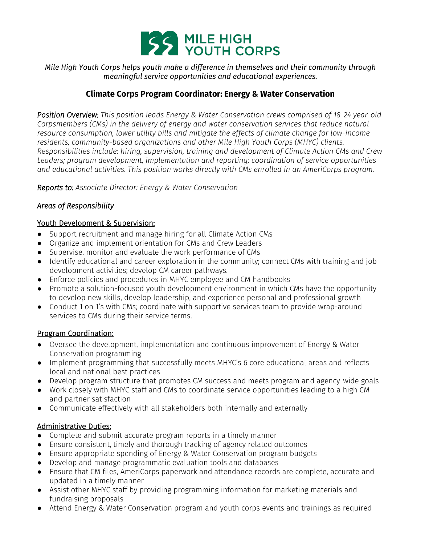

*Mile High Youth Corps helps youth make a difference in themselves and their community through meaningful service opportunities and educational experiences.*

# **Climate Corps Program Coordinator: Energy & Water Conservation**

*Position Overview: This position leads Energy & Water Conservation crews comprised of 18-24 year-old Corpsmembers (CMs) in the delivery of energy and water conservation services that reduce natural resource consumption, lower utility bills and mitigate the effects of climate change for low-income residents, community-based organizations and other Mile High Youth Corps (MHYC) clients. Responsibilities include: hiring, supervision, training and development of Climate Action CMs and Crew Leaders; program development, implementation and reporting; coordination of service opportunities and educational activities. This position works directly with CMs enrolled in an AmeriCorps program.*

*Reports to: Associate Director: Energy & Water Conservation*

### *Areas of Responsibility*

### Youth Development & Supervision:

- Support recruitment and manage hiring for all Climate Action CMs
- Organize and implement orientation for CMs and Crew Leaders
- Supervise, monitor and evaluate the work performance of CMs
- Identify educational and career exploration in the community; connect CMs with training and job development activities; develop CM career pathways.
- Enforce policies and procedures in MHYC employee and CM handbooks
- Promote a solution-focused youth development environment in which CMs have the opportunity to develop new skills, develop leadership, and experience personal and professional growth
- Conduct 1 on 1's with CMs; coordinate with supportive services team to provide wrap-around services to CMs during their service terms.

### Program Coordination:

- Oversee the development, implementation and continuous improvement of Energy & Water Conservation programming
- Implement programming that successfully meets MHYC's 6 core educational areas and reflects local and national best practices
- Develop program structure that promotes CM success and meets program and agency-wide goals
- Work closely with MHYC staff and CMs to coordinate service opportunities leading to a high CM and partner satisfaction
- Communicate effectively with all stakeholders both internally and externally

### Administrative Duties:

- Complete and submit accurate program reports in a timely manner
- Ensure consistent, timely and thorough tracking of agency related outcomes
- Ensure appropriate spending of Energy & Water Conservation program budgets
- Develop and manage programmatic evaluation tools and databases
- Ensure that CM files, AmeriCorps paperwork and attendance records are complete, accurate and updated in a timely manner
- Assist other MHYC staff by providing programming information for marketing materials and fundraising proposals
- Attend Energy & Water Conservation program and youth corps events and trainings as required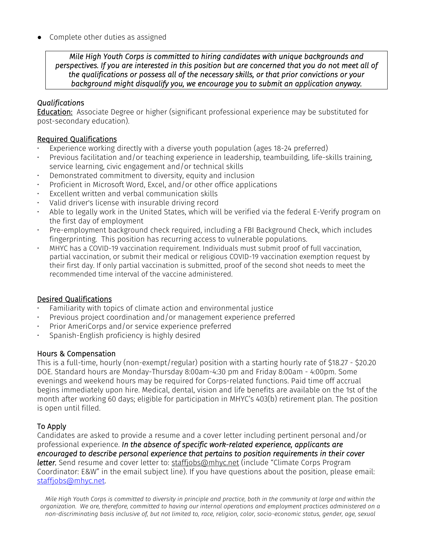Complete other duties as assigned

*Mile High Youth Corps is committed to hiring candidates with unique backgrounds and perspectives. If you are interested in this position but are concerned that you do not meet all of the qualifications or possess all of the necessary skills, or that prior convictions or your background might disqualify you, we encourage you to submit an application anyway.* 

## *Qualification*s

Education: Associate Degree or higher (significant professional experience may be substituted for post-secondary education).

### Required Qualifications

- Experience working directly with a diverse youth population (ages 18-24 preferred)
- Previous facilitation and/or teaching experience in leadership, teambuilding, life-skills training, service learning, civic engagement and/or technical skills
- Demonstrated commitment to diversity, equity and inclusion
- Proficient in Microsoft Word, Excel, and/or other office applications
- Excellent written and verbal communication skills
- Valid driver's license with insurable driving record
- Able to legally work in the United States, which will be verified via the federal E-Verify program on the first day of employment
- Pre-employment background check required, including a FBI Background Check, which includes fingerprinting. This position has recurring access to vulnerable populations.
- MHYC has a COVID-19 vaccination requirement. Individuals must submit proof of full vaccination, partial vaccination, or submit their medical or religious COVID-19 vaccination exemption request by their first day. If only partial vaccination is submitted, proof of the second shot needs to meet the recommended time interval of the vaccine administered.

### Desired Qualifications

- Familiarity with topics of climate action and environmental justice
- Previous project coordination and/or management experience preferred
- Prior AmeriCorps and/or service experience preferred
- Spanish-English proficiency is highly desired

### Hours & Compensation

This is a full-time, hourly (non-exempt/regular) position with a starting hourly rate of \$18.27 - \$20.20 DOE. Standard hours are Monday-Thursday 8:00am-4:30 pm and Friday 8:00am - 4:00pm. Some evenings and weekend hours may be required for Corps-related functions. Paid time off accrual begins immediately upon hire. Medical, dental, vision and life benefits are available on the 1st of the month after working 60 days; eligible for participation in MHYC's 403(b) retirement plan. The position is open until filled.

# To Apply

Candidates are asked to provide a resume and a cover letter including pertinent personal and/or professional experience. *In the absence of specific work-related experience, applicants are encouraged to describe personal experience that pertains to position requirements in their cover letter.* Send resume and cover letter to: staffjobs@mhyc.net (include "Climate Corps Program Coordinator: E&W" in the email subject line). If you have questions about the position, please email: [staffjobs@mhyc.net.](mailto:staffjobs@mhyc.net)

*Mile High Youth Corps is committed to diversity in principle and practice, both in the community at large and within the organization. We are, therefore, committed to having our internal operations and employment practices administered on a non-discriminating basis inclusive of, but not limited to, race, religion, color, socio-economic status, gender, age, sexual*